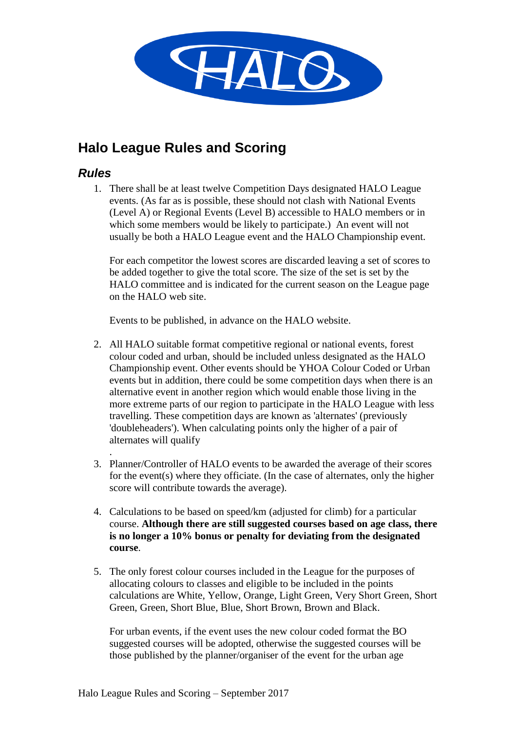

# **Halo League Rules and Scoring**

#### *Rules*

1. There shall be at least twelve Competition Days designated HALO League events. (As far as is possible, these should not clash with National Events (Level A) or Regional Events (Level B) accessible to HALO members or in which some members would be likely to participate.) An event will not usually be both a HALO League event and the HALO Championship event.

For each competitor the lowest scores are discarded leaving a set of scores to be added together to give the total score. The size of the set is set by the HALO committee and is indicated for the current season on the League page on the HALO web site.

Events to be published, in advance on the HALO website.

- 2. All HALO suitable format competitive regional or national events, forest colour coded and urban, should be included unless designated as the HALO Championship event. Other events should be YHOA Colour Coded or Urban events but in addition, there could be some competition days when there is an alternative event in another region which would enable those living in the more extreme parts of our region to participate in the HALO League with less travelling. These competition days are known as 'alternates' (previously 'doubleheaders'). When calculating points only the higher of a pair of alternates will qualify
- . 3. Planner/Controller of HALO events to be awarded the average of their scores for the event(s) where they officiate. (In the case of alternates, only the higher score will contribute towards the average).
- 4. Calculations to be based on speed/km (adjusted for climb) for a particular course. **Although there are still suggested courses based on age class, there is no longer a 10% bonus or penalty for deviating from the designated course**.
- 5. The only forest colour courses included in the League for the purposes of allocating colours to classes and eligible to be included in the points calculations are White, Yellow, Orange, Light Green, Very Short Green, Short Green, Green, Short Blue, Blue, Short Brown, Brown and Black.

For urban events, if the event uses the new colour coded format the BO suggested courses will be adopted, otherwise the suggested courses will be those published by the planner/organiser of the event for the urban age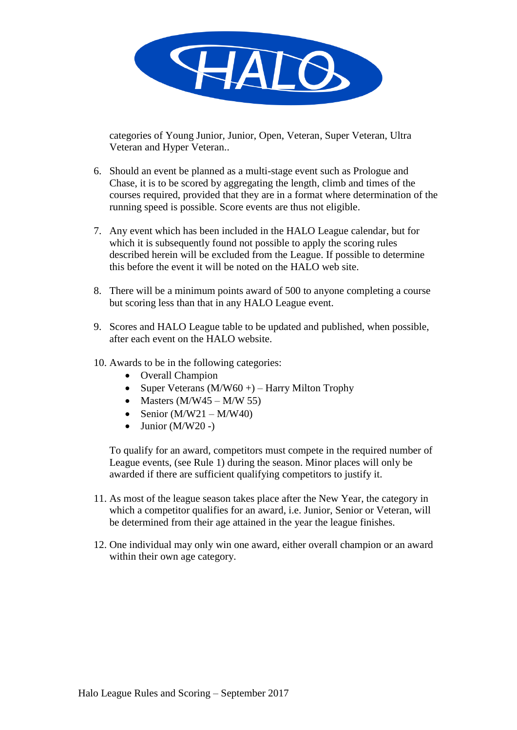

categories of Young Junior, Junior, Open, Veteran, Super Veteran, Ultra Veteran and Hyper Veteran..

- 6. Should an event be planned as a multi-stage event such as Prologue and Chase, it is to be scored by aggregating the length, climb and times of the courses required, provided that they are in a format where determination of the running speed is possible. Score events are thus not eligible.
- 7. Any event which has been included in the HALO League calendar, but for which it is subsequently found not possible to apply the scoring rules described herein will be excluded from the League. If possible to determine this before the event it will be noted on the HALO web site.
- 8. There will be a minimum points award of 500 to anyone completing a course but scoring less than that in any HALO League event.
- 9. Scores and HALO League table to be updated and published, when possible, after each event on the HALO website.
- 10. Awards to be in the following categories:
	- Overall Champion
	- Super Veterans  $(M/W60+)$  Harry Milton Trophy
	- Masters  $(M/W45 M/W 55)$
	- Senior  $(M/W21 M/W40)$
	- $\bullet$  Junior (M/W20 -)

To qualify for an award, competitors must compete in the required number of League events, (see Rule 1) during the season. Minor places will only be awarded if there are sufficient qualifying competitors to justify it.

- 11. As most of the league season takes place after the New Year, the category in which a competitor qualifies for an award, *i.e.* Junior, Senior or Veteran, will be determined from their age attained in the year the league finishes.
- 12. One individual may only win one award, either overall champion or an award within their own age category.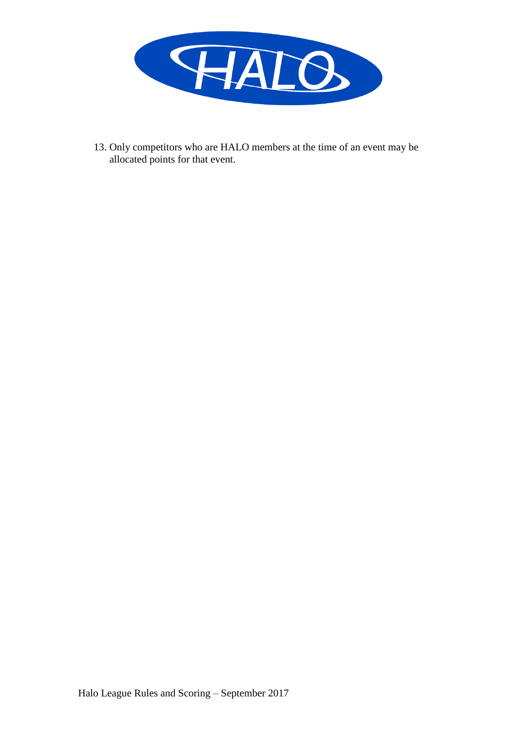

13. Only competitors who are HALO members at the time of an event may be allocated points for that event.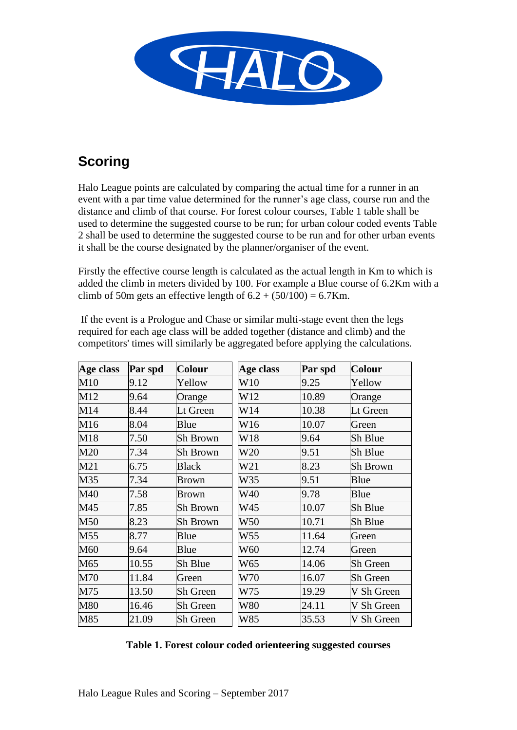

# **Scoring**

Halo League points are calculated by comparing the actual time for a runner in an event with a par time value determined for the runner's age class, course run and the distance and climb of that course. For forest colour courses, Table 1 table shall be used to determine the suggested course to be run; for urban colour coded events Table 2 shall be used to determine the suggested course to be run and for other urban events it shall be the course designated by the planner/organiser of the event.

Firstly the effective course length is calculated as the actual length in Km to which is added the climb in meters divided by 100. For example a Blue course of 6.2Km with a climb of 50m gets an effective length of  $6.2 + (50/100) = 6.7$ Km.

| Age class | Par spd | <b>Colour</b>   | Age class       | Par spd | <b>Colour</b>   |
|-----------|---------|-----------------|-----------------|---------|-----------------|
| M10       | 9.12    | Yellow          | W10             | 9.25    | Yellow          |
| M12       | 9.64    | Orange          | W12             | 10.89   | Orange          |
| M14       | 8.44    | Lt Green        | W14             | 10.38   | Lt Green        |
| M16       | 8.04    | Blue            | W16             | 10.07   | Green           |
| M18       | 7.50    | Sh Brown        | W18             | 9.64    | Sh Blue         |
| M20       | 7.34    | Sh Brown        | W20             | 9.51    | Sh Blue         |
| M21       | 6.75    | <b>Black</b>    | W <sub>21</sub> | 8.23    | Sh Brown        |
| M35       | 7.34    | <b>Brown</b>    | W35             | 9.51    | Blue            |
| M40       | 7.58    | <b>Brown</b>    | W40             | 9.78    | Blue            |
| M45       | 7.85    | Sh Brown        | W45             | 10.07   | Sh Blue         |
| M50       | 8.23    | Sh Brown        | W50             | 10.71   | Sh Blue         |
| M55       | 8.77    | Blue            | W55             | 11.64   | Green           |
| M60       | 9.64    | Blue            | W60             | 12.74   | Green           |
| M65       | 10.55   | Sh Blue         | W65             | 14.06   | <b>Sh Green</b> |
| M70       | 11.84   | Green           | W70             | 16.07   | <b>Sh Green</b> |
| M75       | 13.50   | <b>Sh Green</b> | W75             | 19.29   | V Sh Green      |
| M80       | 16.46   | Sh Green        | W80             | 24.11   | V Sh Green      |
| M85       | 21.09   | Sh Green        | W85             | 35.53   | V Sh Green      |

If the event is a Prologue and Chase or similar multi-stage event then the legs required for each age class will be added together (distance and climb) and the competitors' times will similarly be aggregated before applying the calculations.

#### **Table 1. Forest colour coded orienteering suggested courses**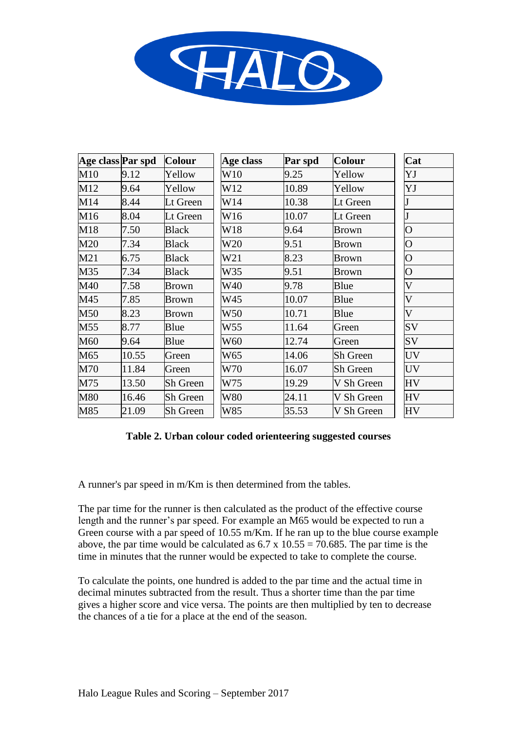

| Age class Par spd |       | <b>Colour</b>   | Age class  | Par spd | <b>Colour</b> | Cat                       |
|-------------------|-------|-----------------|------------|---------|---------------|---------------------------|
| M10               | 9.12  | Yellow          | W10        | 9.25    | Yellow        | YJ                        |
| M12               | 9.64  | Yellow          | W12        | 10.89   | Yellow        | YJ                        |
| M14               | 8.44  | Lt Green        | W14        | 10.38   | Lt Green      |                           |
| M16               | 8.04  | Lt Green        | W16        | 10.07   | Lt Green      |                           |
| M18               | 7.50  | <b>Black</b>    | W18        | 9.64    | <b>Brown</b>  | $\overline{O}$            |
| M20               | 7.34  | <b>Black</b>    | W20        | 9.51    | <b>Brown</b>  | $\overline{O}$            |
| M21               | 6.75  | <b>Black</b>    | W21        | 8.23    | <b>Brown</b>  | $\overline{O}$            |
| M35               | 7.34  | <b>Black</b>    | W35        | 9.51    | <b>Brown</b>  | $\overline{O}$            |
| M40               | 7.58  | <b>Brown</b>    | W40        | 9.78    | Blue          | $\mathbf V$               |
| M45               | 7.85  | <b>Brown</b>    | W45        | 10.07   | Blue          | $\boldsymbol{\mathrm{V}}$ |
| M50               | 8.23  | <b>Brown</b>    | W50        | 10.71   | Blue          | $\boldsymbol{\mathrm{V}}$ |
| M55               | 8.77  | Blue            | W55        | 11.64   | Green         | SV                        |
| M60               | 9.64  | Blue            | W60        | 12.74   | Green         | SV                        |
| M65               | 10.55 | Green           | W65        | 14.06   | Sh Green      | <b>UV</b>                 |
| M70               | 11.84 | Green           | W70        | 16.07   | Sh Green      | UV                        |
| M75               | 13.50 | Sh Green        | W75        | 19.29   | V Sh Green    | <b>HV</b>                 |
| M80               | 16.46 | Sh Green        | <b>W80</b> | 24.11   | V Sh Green    | <b>HV</b>                 |
| M85               | 21.09 | <b>Sh Green</b> | W85        | 35.53   | V Sh Green    | <b>HV</b>                 |

#### **Table 2. Urban colour coded orienteering suggested courses**

A runner's par speed in m/Km is then determined from the tables.

The par time for the runner is then calculated as the product of the effective course length and the runner's par speed. For example an M65 would be expected to run a Green course with a par speed of 10.55 m/Km. If he ran up to the blue course example above, the par time would be calculated as  $6.7 \times 10.55 = 70.685$ . The par time is the time in minutes that the runner would be expected to take to complete the course.

To calculate the points, one hundred is added to the par time and the actual time in decimal minutes subtracted from the result. Thus a shorter time than the par time gives a higher score and vice versa. The points are then multiplied by ten to decrease the chances of a tie for a place at the end of the season.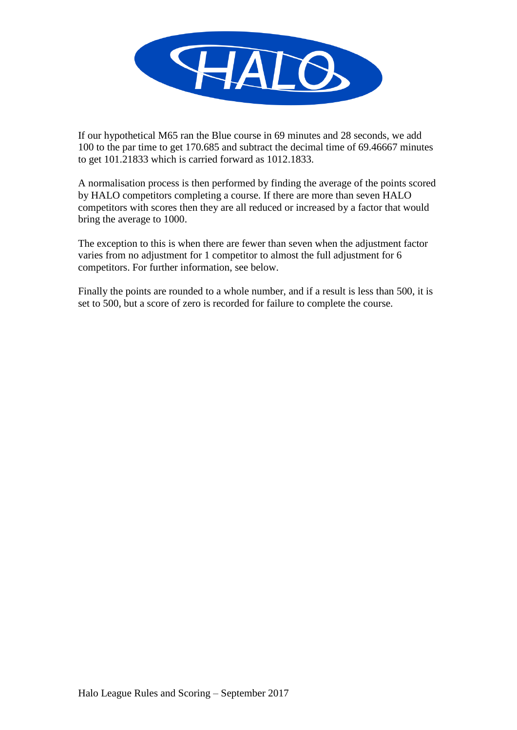

If our hypothetical M65 ran the Blue course in 69 minutes and 28 seconds, we add 100 to the par time to get 170.685 and subtract the decimal time of 69.46667 minutes to get 101.21833 which is carried forward as 1012.1833.

A normalisation process is then performed by finding the average of the points scored by HALO competitors completing a course. If there are more than seven HALO competitors with scores then they are all reduced or increased by a factor that would bring the average to 1000.

The exception to this is when there are fewer than seven when the adjustment factor varies from no adjustment for 1 competitor to almost the full adjustment for 6 competitors. For further information, see below.

Finally the points are rounded to a whole number, and if a result is less than 500, it is set to 500, but a score of zero is recorded for failure to complete the course.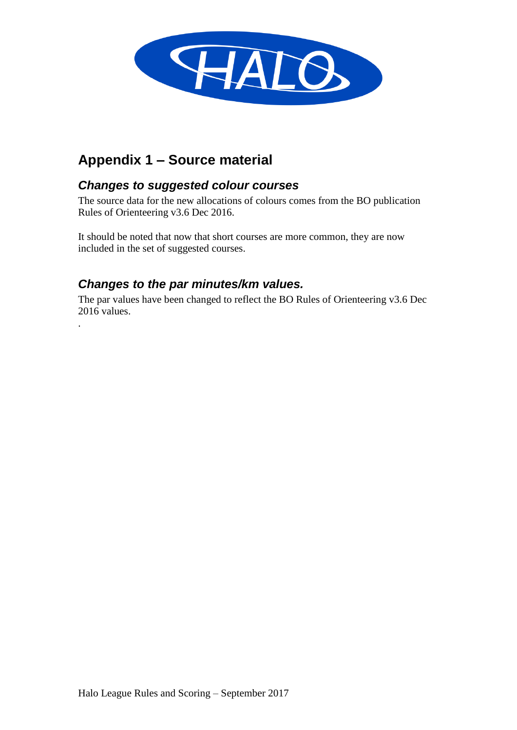

# **Appendix 1 – Source material**

### *Changes to suggested colour courses*

The source data for the new allocations of colours comes from the BO publication Rules of Orienteering v3.6 Dec 2016.

It should be noted that now that short courses are more common, they are now included in the set of suggested courses.

## *Changes to the par minutes/km values.*

.

The par values have been changed to reflect the BO Rules of Orienteering v3.6 Dec 2016 values.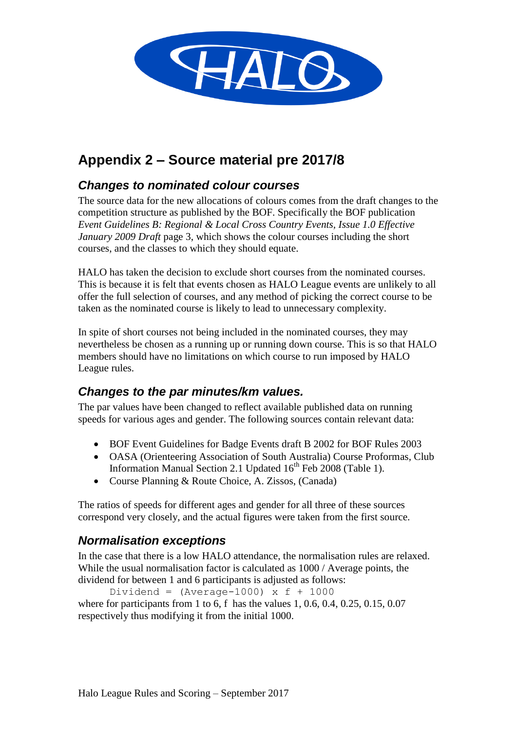

# **Appendix 2 – Source material pre 2017/8**

## *Changes to nominated colour courses*

The source data for the new allocations of colours comes from the draft changes to the competition structure as published by the BOF. Specifically the BOF publication *Event Guidelines B: Regional & Local Cross Country Events, Issue 1.0 Effective January 2009 Draft* page 3, which shows the colour courses including the short courses, and the classes to which they should equate.

HALO has taken the decision to exclude short courses from the nominated courses. This is because it is felt that events chosen as HALO League events are unlikely to all offer the full selection of courses, and any method of picking the correct course to be taken as the nominated course is likely to lead to unnecessary complexity.

In spite of short courses not being included in the nominated courses, they may nevertheless be chosen as a running up or running down course. This is so that HALO members should have no limitations on which course to run imposed by HALO League rules.

### *Changes to the par minutes/km values.*

The par values have been changed to reflect available published data on running speeds for various ages and gender. The following sources contain relevant data:

- BOF Event Guidelines for Badge Events draft B 2002 for BOF Rules 2003
- OASA (Orienteering Association of South Australia) Course Proformas, Club Information Manual Section 2.1 Updated  $16<sup>th</sup>$  Feb 2008 (Table 1).
- Course Planning & Route Choice, A. Zissos, (Canada)

The ratios of speeds for different ages and gender for all three of these sources correspond very closely, and the actual figures were taken from the first source.

### *Normalisation exceptions*

In the case that there is a low HALO attendance, the normalisation rules are relaxed. While the usual normalisation factor is calculated as 1000 / Average points, the dividend for between 1 and 6 participants is adjusted as follows:

Dividend =  $(Average-1000)$  x f + 1000 where for participants from 1 to 6, f has the values 1, 0.6, 0.4, 0.25, 0.15, 0.07 respectively thus modifying it from the initial 1000.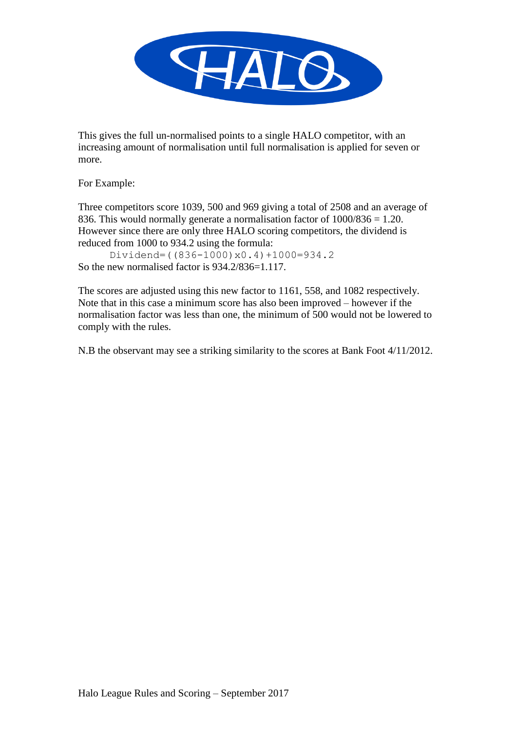

This gives the full un-normalised points to a single HALO competitor, with an increasing amount of normalisation until full normalisation is applied for seven or more.

For Example:

Three competitors score 1039, 500 and 969 giving a total of 2508 and an average of 836. This would normally generate a normalisation factor of 1000/836 = 1.20. However since there are only three HALO scoring competitors, the dividend is reduced from 1000 to 934.2 using the formula:

Dividend=((836-1000)x0.4)+1000=934.2 So the new normalised factor is 934.2/836=1.117.

The scores are adjusted using this new factor to 1161, 558, and 1082 respectively. Note that in this case a minimum score has also been improved – however if the normalisation factor was less than one, the minimum of 500 would not be lowered to comply with the rules.

N.B the observant may see a striking similarity to the scores at Bank Foot 4/11/2012.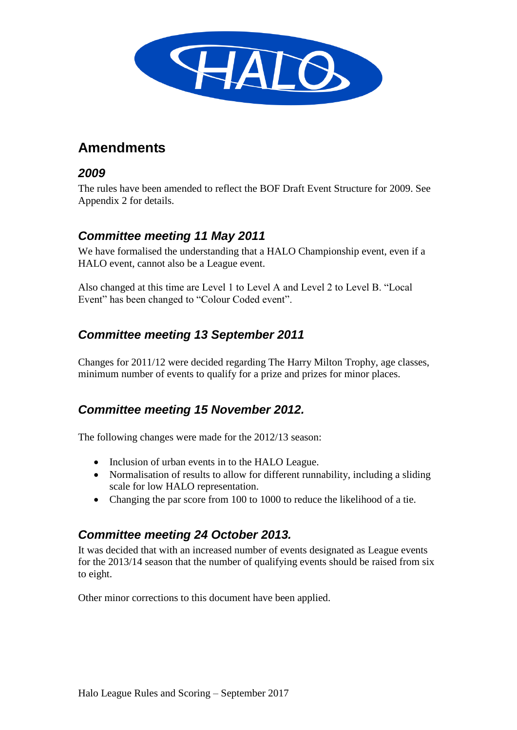

# **Amendments**

#### *2009*

The rules have been amended to reflect the BOF Draft Event Structure for 2009. See Appendix 2 for details.

### *Committee meeting 11 May 2011*

We have formalised the understanding that a HALO Championship event, even if a HALO event, cannot also be a League event.

Also changed at this time are Level 1 to Level A and Level 2 to Level B. "Local Event" has been changed to "Colour Coded event".

## *Committee meeting 13 September 2011*

Changes for 2011/12 were decided regarding The Harry Milton Trophy, age classes, minimum number of events to qualify for a prize and prizes for minor places.

### *Committee meeting 15 November 2012.*

The following changes were made for the 2012/13 season:

- Inclusion of urban events in to the HALO League.
- Normalisation of results to allow for different runnability, including a sliding scale for low HALO representation.
- Changing the par score from 100 to 1000 to reduce the likelihood of a tie.

### *Committee meeting 24 October 2013.*

It was decided that with an increased number of events designated as League events for the 2013/14 season that the number of qualifying events should be raised from six to eight.

Other minor corrections to this document have been applied.